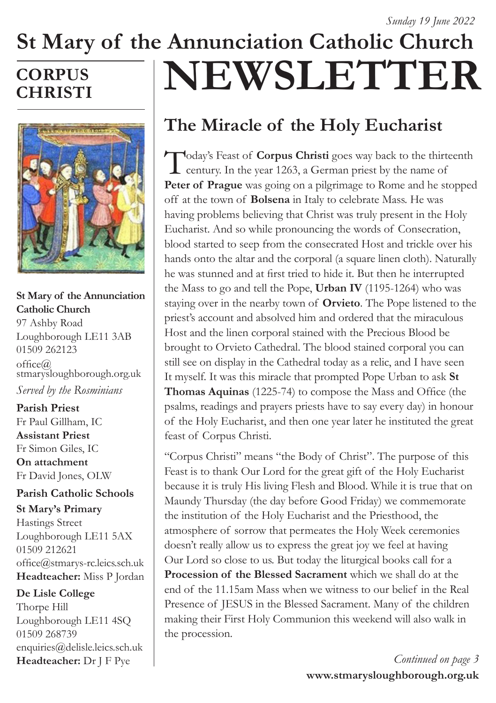## **St Mary of the Annunciation Catholic Church NEWSLETTER CORPUS CHRISTI**



## **St Mary of the Annunciation Catholic Church**

97 Ashby Road Loughborough LE11 3AB 01509 262123  $offce@$ stmarysloughborough.org.uk *Served by the Rosminians*

#### **Parish Priest**  Fr Paul Gillham, IC **Assistant Priest**  Fr Simon Giles, IC

**On attachment**  Fr David Jones, OLW

### **Parish Catholic Schools**

**St Mary's Primary** Hastings Street Loughborough LE11 5AX 01509 212621 office@stmarys-rc.leics.sch.uk **Headteacher:** Miss P Jordan

### **De Lisle College**

Thorpe Hill Loughborough LE11 4SQ 01509 268739 enquiries@delisle.leics.sch.uk **Headteacher:** Dr J F Pye

# **The Miracle of the Holy Eucharist**

Today's Feast of **Corpus Christi** goes way back to the thirteenth **L** century. In the year 1263, a German priest by the name of **Peter of Prague** was going on a pilgrimage to Rome and he stopped off at the town of **Bolsena** in Italy to celebrate Mass. He was having problems believing that Christ was truly present in the Holy Eucharist. And so while pronouncing the words of Consecration, blood started to seep from the consecrated Host and trickle over his hands onto the altar and the corporal (a square linen cloth). Naturally he was stunned and at first tried to hide it. But then he interrupted the Mass to go and tell the Pope, **Urban IV** (1195-1264) who was staying over in the nearby town of **Orvieto**. The Pope listened to the priest's account and absolved him and ordered that the miraculous Host and the linen corporal stained with the Precious Blood be brought to Orvieto Cathedral. The blood stained corporal you can still see on display in the Cathedral today as a relic, and I have seen It myself. It was this miracle that prompted Pope Urban to ask **St Thomas Aquinas** (1225-74) to compose the Mass and Office (the psalms, readings and prayers priests have to say every day) in honour of the Holy Eucharist, and then one year later he instituted the great feast of Corpus Christi.

"Corpus Christi" means "the Body of Christ". The purpose of this Feast is to thank Our Lord for the great gift of the Holy Eucharist because it is truly His living Flesh and Blood. While it is true that on Maundy Thursday (the day before Good Friday) we commemorate the institution of the Holy Eucharist and the Priesthood, the atmosphere of sorrow that permeates the Holy Week ceremonies doesn't really allow us to express the great joy we feel at having Our Lord so close to us. But today the liturgical books call for a **Procession of the Blessed Sacrament** which we shall do at the end of the 11.15am Mass when we witness to our belief in the Real Presence of JESUS in the Blessed Sacrament. Many of the children making their First Holy Communion this weekend will also walk in the procession.

> **www.stmarysloughborough.org.uk** *Continued on page 3*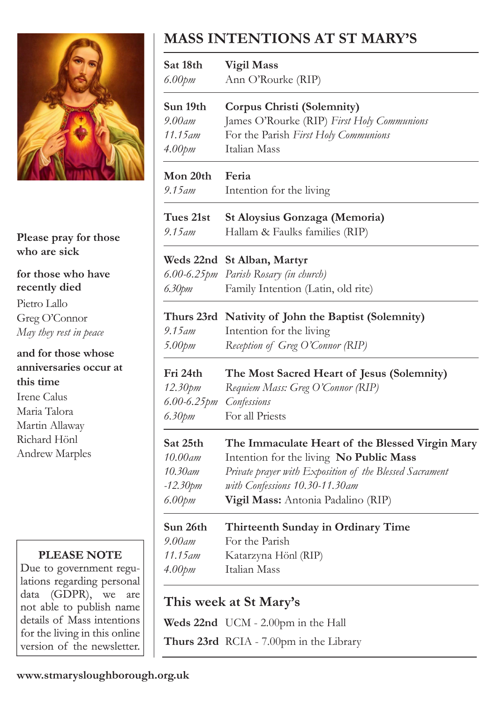

**Please pray for those who are sick**

**for those who have recently died**

Pietro Lallo Greg O'Connor *May they rest in peace*

### **and for those whose anniversaries occur at this time**

Irene Calus Maria Talora Martin Allaway Richard Hönl Andrew Marples

### **PLEASE NOTE**

Due to government regulations regarding personal data (GDPR), we are not able to publish name details of Mass intentions for the living in this online version of the newsletter.

## **MASS INTENTIONS AT ST MARY'S**

| Sat 18th                | <b>Vigil Mass</b>                                                                                                   |
|-------------------------|---------------------------------------------------------------------------------------------------------------------|
| $6.00$ pm               | Ann O'Rourke (RIP)                                                                                                  |
| Sun 19th                | Corpus Christi (Solemnity)                                                                                          |
| $9.00$ am               | James O'Rourke (RIP) First Holy Communions                                                                          |
| 11.15 am                | For the Parish First Holy Communions                                                                                |
| 4.00 <sub>pm</sub>      | Italian Mass                                                                                                        |
| Mon 20th                | Feria                                                                                                               |
| 9.15 am                 | Intention for the living                                                                                            |
| Tues 21st               | St Aloysius Gonzaga (Memoria)                                                                                       |
| $9.15$ am               | Hallam & Faulks families (RIP)                                                                                      |
| 6.30pm                  | Weds 22nd St Alban, Martyr<br>6.00-6.25pm Parish Rosary (in church)<br>Family Intention (Latin, old rite)           |
| $9.15$ am<br>5.00pm     | Thurs 23rd Nativity of John the Baptist (Solemnity)<br>Intention for the living<br>Reception of Greg O'Connor (RIP) |
| Fri 24th                | The Most Sacred Heart of Jesus (Solemnity)                                                                          |
| 12.30pm                 | Requiem Mass: Greg O'Connor (RIP)                                                                                   |
| $6.00 - 6.25$ <i>pm</i> | Confessions                                                                                                         |
| 6.30pm                  | For all Priests                                                                                                     |
| Sat 25th                | The Immaculate Heart of the Blessed Virgin Mary                                                                     |
| 10.00am                 | Intention for the living No Public Mass                                                                             |
| 10.30am                 | Private prayer with Exposition of the Blessed Sacrament                                                             |
| $-12.30$ pm             | with Confessions 10.30-11.30am                                                                                      |
| $6.00$ pm               | Vigil Mass: Antonia Padalino (RIP)                                                                                  |
| Sun 26th                | Thirteenth Sunday in Ordinary Time                                                                                  |
| 9.00am                  | For the Parish                                                                                                      |
| 11.15am                 | Katarzyna Hönl (RIP)                                                                                                |
| 4.00 <sub>pm</sub>      | Italian Mass                                                                                                        |

## **This week at St Mary's**

**Weds 22nd** UCM - 2.00pm in the Hall

**Thurs 23rd** RCIA - 7.00pm in the Library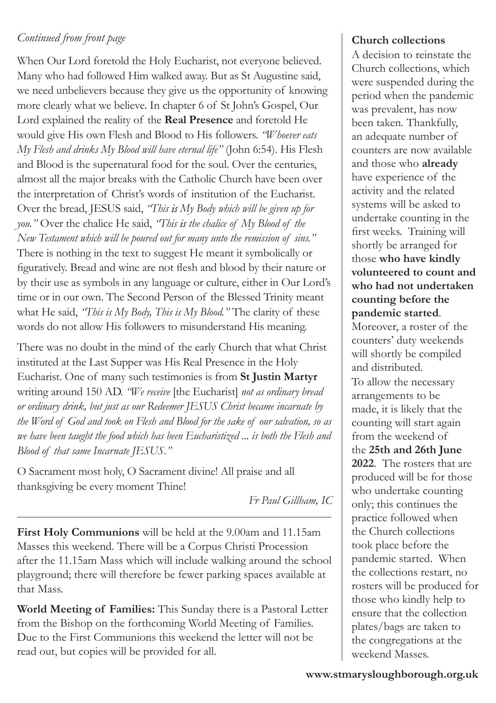### *Continued from front page*

When Our Lord foretold the Holy Eucharist, not everyone believed. Many who had followed Him walked away. But as St Augustine said, we need unbelievers because they give us the opportunity of knowing more clearly what we believe. In chapter 6 of St John's Gospel, Our Lord explained the reality of the **Real Presence** and foretold He would give His own Flesh and Blood to His followers. *"Whoever eats My Flesh and drinks My Blood will have eternal life"* (John 6:54). His Flesh and Blood is the supernatural food for the soul. Over the centuries, almost all the major breaks with the Catholic Church have been over the interpretation of Christ's words of institution of the Eucharist. Over the bread, JESUS said, *"This is My Body which will be given up for you."* Over the chalice He said, *"This is the chalice of My Blood of the New Testament which will be poured out for many unto the remission of sins."*  There is nothing in the text to suggest He meant it symbolically or figuratively. Bread and wine are not flesh and blood by their nature or by their use as symbols in any language or culture, either in Our Lord's time or in our own. The Second Person of the Blessed Trinity meant what He said, *"This is My Body, This is My Blood."* The clarity of these words do not allow His followers to misunderstand His meaning.

There was no doubt in the mind of the early Church that what Christ instituted at the Last Supper was His Real Presence in the Holy Eucharist. One of many such testimonies is from **St Justin Martyr** writing around 150 AD. *"We receive* [the Eucharist] *not as ordinary bread or ordinary drink, but just as our Redeemer JESUS Christ became incarnate by the Word of God and took on Flesh and Blood for the sake of our salvation, so as we have been taught the food which has been Eucharistized ... is both the Flesh and Blood of that same Incarnate JESUS."*

O Sacrament most holy, O Sacrament divine! All praise and all thanksgiving be every moment Thine!

*Fr Paul Gillham, IC*

**First Holy Communions** will be held at the 9.00am and 11.15am Masses this weekend. There will be a Corpus Christi Procession after the 11.15am Mass which will include walking around the school playground; there will therefore be fewer parking spaces available at that Mass.

**World Meeting of Families:** This Sunday there is a Pastoral Letter from the Bishop on the forthcoming World Meeting of Families. Due to the First Communions this weekend the letter will not be read out, but copies will be provided for all.

### **Church collections**

A decision to reinstate the Church collections, which were suspended during the period when the pandemic was prevalent, has now been taken. Thankfully, an adequate number of counters are now available and those who **already** have experience of the activity and the related systems will be asked to undertake counting in the first weeks. Training will shortly be arranged for those **who have kindly volunteered to count and who had not undertaken counting before the pandemic started**.

Moreover, a roster of the counters' duty weekends will shortly be compiled and distributed.

To allow the necessary arrangements to be made, it is likely that the counting will start again from the weekend of the **25th and 26th June 2022**. The rosters that are produced will be for those who undertake counting only; this continues the practice followed when the Church collections took place before the pandemic started. When the collections restart, no rosters will be produced for those who kindly help to ensure that the collection plates/bags are taken to the congregations at the weekend Masses.